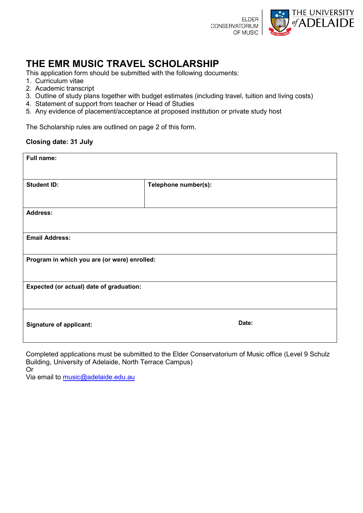

# **THE EMR MUSIC TRAVEL SCHOLARSHIP**

This application form should be submitted with the following documents:

- 1. Curriculum vitae
- 2. Academic transcript
- 3. Outline of study plans together with budget estimates (including travel, tuition and living costs)
- 4. Statement of support from teacher or Head of Studies
- 5. Any evidence of placement/acceptance at proposed institution or private study host

The Scholarship rules are outlined on page 2 of this form.

### **Closing date: 31 July**

| <b>Full name:</b>                            |                      |
|----------------------------------------------|----------------------|
|                                              |                      |
| <b>Student ID:</b>                           | Telephone number(s): |
|                                              |                      |
| <b>Address:</b>                              |                      |
|                                              |                      |
| <b>Email Address:</b>                        |                      |
|                                              |                      |
| Program in which you are (or were) enrolled: |                      |
|                                              |                      |
| Expected (or actual) date of graduation:     |                      |
|                                              |                      |
|                                              |                      |
| <b>Signature of applicant:</b>               | Date:                |
|                                              |                      |

Completed applications must be submitted to the Elder Conservatorium of Music office (Level 9 Schulz Building, University of Adelaide, North Terrace Campus)

Or

Via email to [music@adelaide.edu.au](mailto:music@adelaide.edu.au)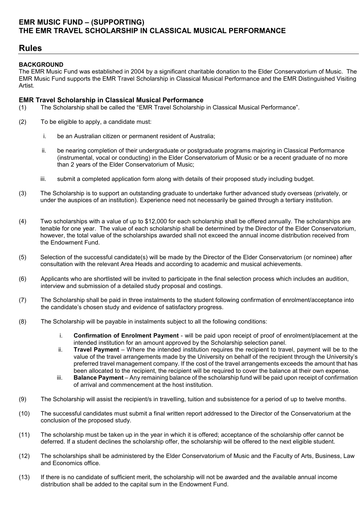### **EMR MUSIC FUND – (SUPPORTING) THE EMR TRAVEL SCHOLARSHIP IN CLASSICAL MUSICAL PERFORMANCE**

## **Rules**

### **BACKGROUND**

The EMR Music Fund was established in 2004 by a significant charitable donation to the Elder Conservatorium of Music. The EMR Music Fund supports the EMR Travel Scholarship in Classical Musical Performance and the EMR Distinguished Visiting Artist.

#### **EMR Travel Scholarship in Classical Musical Performance**

- (1) The Scholarship shall be called the "EMR Travel Scholarship in Classical Musical Performance".
- (2) To be eligible to apply, a candidate must:
	- i. be an Australian citizen or permanent resident of Australia;
	- ii. be nearing completion of their undergraduate or postgraduate programs majoring in Classical Performance (instrumental, vocal or conducting) in the Elder Conservatorium of Music or be a recent graduate of no more than 2 years of the Elder Conservatorium of Music;
	- iii. submit a completed application form along with details of their proposed study including budget.
- (3) The Scholarship is to support an outstanding graduate to undertake further advanced study overseas (privately, or under the auspices of an institution). Experience need not necessarily be gained through a tertiary institution.
- (4) Two scholarships with a value of up to \$12,000 for each scholarship shall be offered annually. The scholarships are tenable for one year. The value of each scholarship shall be determined by the Director of the Elder Conservatorium, however, the total value of the scholarships awarded shall not exceed the annual income distribution received from the Endowment Fund.
- (5) Selection of the successful candidate(s) will be made by the Director of the Elder Conservatorium (or nominee) after consultation with the relevant Area Heads and according to academic and musical achievements.
- (6) Applicants who are shortlisted will be invited to participate in the final selection process which includes an audition, interview and submission of a detailed study proposal and costings.
- (7) The Scholarship shall be paid in three instalments to the student following confirmation of enrolment/acceptance into the candidate's chosen study and evidence of satisfactory progress.
- (8) The Scholarship will be payable in instalments subject to all the following conditions:
	- i. **Confirmation of Enrolment Payment** will be paid upon receipt of proof of enrolment/placement at the intended institution for an amount approved by the Scholarship selection panel.
	- ii. **Travel Payment** Where the intended institution requires the recipient to travel, payment will be to the value of the travel arrangements made by the University on behalf of the recipient through the University's preferred travel management company. If the cost of the travel arrangements exceeds the amount that has been allocated to the recipient, the recipient will be required to cover the balance at their own expense.
	- iii. **Balance Payment** Any remaining balance of the scholarship fund will be paid upon receipt of confirmation of arrival and commencement at the host institution.
- (9) The Scholarship will assist the recipient/s in travelling, tuition and subsistence for a period of up to twelve months.
- (10) The successful candidates must submit a final written report addressed to the Director of the Conservatorium at the conclusion of the proposed study.
- (11) The scholarship must be taken up in the year in which it is offered; acceptance of the scholarship offer cannot be deferred. If a student declines the scholarship offer, the scholarship will be offered to the next eligible student.
- (12) The scholarships shall be administered by the Elder Conservatorium of Music and the Faculty of Arts, Business, Law and Economics office.
- (13) If there is no candidate of sufficient merit, the scholarship will not be awarded and the available annual income distribution shall be added to the capital sum in the Endowment Fund.